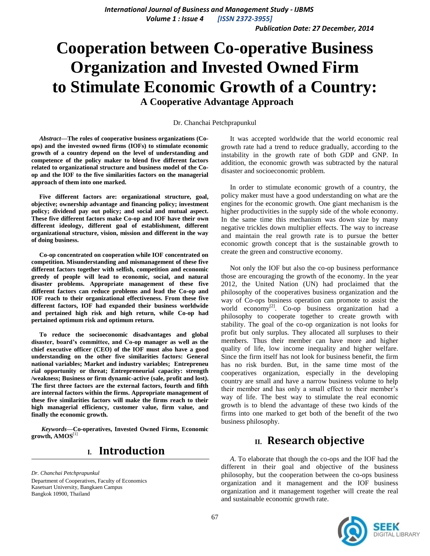*Publication Date: 27 December, 2014*

# **Cooperation between Co-operative Business Organization and Invested Owned Firm to Stimulate Economic Growth of a Country:**

**A Cooperative Advantage Approach**

Dr. Chanchai Petchprapunkul

 *Abstract***—The roles of cooperative business organizations (Coops) and the invested owned firms (IOFs) to stimulate economic growth of a country depend on the level of understanding and competence of the policy maker to blend five different factors related to organizational structure and business model of the Coop and the IOF to the five similarities factors on the managerial approach of them into one marked.** 

 **Five different factors are: organizational structure, goal, objective; ownership advantage and financing policy; investment policy; dividend pay out policy; and social and mutual aspect. These five different factors make Co-op and IOF have their own different ideology, different goal of establishment, different organizational structure, vision, mission and different in the way of doing business.** 

 **Co-op concentrated on cooperation while IOF concentrated on competition. Misunderstanding and mismanagement of these five different factors together with selfish, competition and economic greedy of people will lead to economic, social, and natural disaster problems. Appropriate management of these five different factors can reduce problems and lead the Co-op and IOF reach to their organizational effectiveness. From these five different factors, IOF had expanded their business worldwide and pertained high risk and high return, while Co-op had pertained optimum risk and optimum return.** 

 **To reduce the socioeconomic disadvantages and global disaster, board's committee, and Co-op manager as well as the chief executive officer (CEO) of the IOF must also have a good understanding on the other five similarities factors: General national variables; Market and industry variables; Entrepreneu rial opportunity or threat; Entrepreneurial capacity: strength /weakness; Business or firm dynamic-active (sale, profit and lost). The first three factors are the external factors, fourth and fifth are internal factors within the firms. Appropriate management of these five similarities factors will make the firms reach to their high managerial efficiency, customer value, firm value, and finally the economic growth.**

*Keywords—***Co-operatives, Invested Owned Firms, Economic growth, AMOS**[1]

# **I. Introduction**

*Dr. Chanchai Petchprapunkul* Department of Cooperatives, Faculty of Economics Kasetsart University, Bangkaen Campus Bangkok 10900, Thailand

 It was accepted worldwide that the world economic real growth rate had a trend to reduce gradually, according to the instability in the growth rate of both GDP and GNP. In addition, the economic growth was subtracted by the natural disaster and socioeconomic problem.

 In order to stimulate economic growth of a country, the policy maker must have a good understanding on what are the engines for the economic growth. One giant mechanism is the higher productivities in the supply side of the whole economy. In the same time this mechanism was down size by many negative trickles down multiplier effects. The way to increase and maintain the real growth rate is to pursue the better economic growth concept that is the sustainable growth to create the green and constructive economy.

 Not only the IOF but also the co-op business performance those are encouraging the growth of the economy. In the year 2012, the United Nation (UN) had proclaimed that the philosophy of the cooperatives business organization and the way of Co-ops business operation can promote to assist the world economy<sup>[2]</sup>. Co-op business organization had a philosophy to cooperate together to create growth with stability. The goal of the co-op organization is not looks for profit but only surplus. They allocated all surpluses to their members. Thus their member can have more and higher quality of life, low income inequality and higher welfare. Since the firm itself has not look for business benefit, the firm has no risk burden. But, in the same time most of the cooperatives organization, especially in the developing country are small and have a narrow business volume to help their member and has only a small effect to their member's way of life. The best way to stimulate the real economic growth is to blend the advantage of these two kinds of the firms into one marked to get both of the benefit of the two business philosophy.

## **II. Research objective**

 *A*. To elaborate that though the co-ops and the IOF had the different in their goal and objective of the business philosophy, but the cooperation between the co-ops business organization and it management and the IOF business organization and it management together will create the real and sustainable economic growth rate.

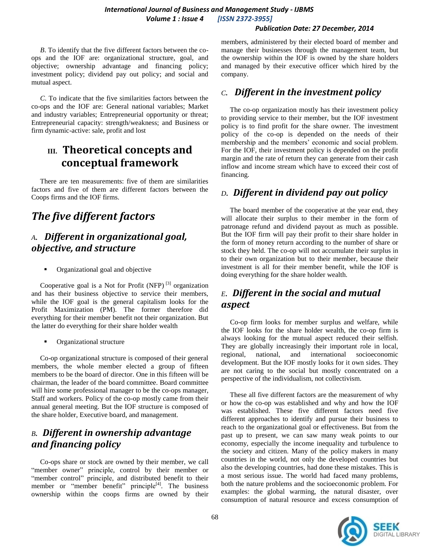#### *International Journal of Business and Management Study - IJBMS Volume 1 : Issue 4 [ISSN 2372-3955]*

#### *Publication Date: 27 December, 2014*

 *B*. To identify that the five different factors between the coops and the IOF are: organizational structure, goal, and objective; ownership advantage and financing policy; investment policy; dividend pay out policy; and social and mutual aspect.

 *C*. To indicate that the five similarities factors between the co-ops and the IOF are: General national variables; Market and industry variables; Entrepreneurial opportunity or threat; Entrepreneurial capacity: strength/weakness; and Business or firm dynamic-active: sale, profit and lost

# **III. Theoretical concepts and conceptual framework**

 There are ten measurements: five of them are similarities factors and five of them are different factors between the Coops firms and the IOF firms.

# *The five different factors*

### *A***.** *Different in organizational goal, objective, and structure*

Organizational goal and objective

Cooperative goal is a Not for Profit  $(NFP)^{[3]}$  organization and has their business objective to service their members, while the IOF goal is the general capitalism looks for the Profit Maximization (PM). The former therefore did everything for their member benefit not their organization. But the latter do everything for their share holder wealth

Organizational structure

 Co-op organizational structure is composed of their general members, the whole member elected a group of fifteen members to be the board of director. One in this fifteen will be chairman, the leader of the board committee. Board committee will hire some professional manager to be the co-ops manager, Staff and workers. Policy of the co-op mostly came from their annual general meeting. But the IOF structure is composed of the share holder, Executive board, and management.

### *B***.** *Different in ownership advantage and financing policy*

 Co-ops share or stock are owned by their member, we call "member owner" principle, control by their member or "member control" principle, and distributed benefit to their member or "member benefit" principle<sup>[4]</sup>. The business ownership within the coops firms are owned by their

members, administered by their elected board of member and manage their businesses through the management team, but the ownership within the IOF is owned by the share holders and managed by their executive officer which hired by the company.

#### *C***.** *Different in the investment policy*

 The co-op organization mostly has their investment policy to providing service to their member, but the IOF investment policy is to find profit for the share owner. The investment policy of the co-op is depended on the needs of their membership and the members' economic and social problem. For the IOF, their investment policy is depended on the profit margin and the rate of return they can generate from their cash inflow and income stream which have to exceed their cost of financing.

#### *D***.** *Different in dividend pay out policy*

 The board member of the cooperative at the year end, they will allocate their surplus to their member in the form of patronage refund and dividend payout as much as possible. But the IOF firm will pay their profit to their share holder in the form of money return according to the number of share or stock they held. The co-op will not accumulate their surplus in to their own organization but to their member, because their investment is all for their member benefit, while the IOF is doing everything for the share holder wealth.

# *E***.** *Different in the social and mutual aspect*

 Co-op firm looks for member surplus and welfare, while the IOF looks for the share holder wealth, the co-op firm is always looking for the mutual aspect reduced their selfish. They are globally increasingly their important role in local, regional, national, and international socioeconomic development. But the IOF mostly looks for it own sides. They are not caring to the social but mostly concentrated on a perspective of the individualism, not collectivism.

 These all five different factors are the measurement of why or how the co-op was established and why and how the IOF was established. These five different factors need five different approaches to identify and pursue their business to reach to the organizational goal or effectiveness. But from the past up to present, we can saw many weak points to our economy, especially the income inequality and turbulence to the society and citizen. Many of the policy makers in many countries in the world, not only the developed countries but also the developing countries, had done these mistakes. This is a most serious issue. The world had faced many problems, both the nature problems and the socioeconomic problem. For examples: the global warming, the natural disaster, over consumption of natural resource and excess consumption of

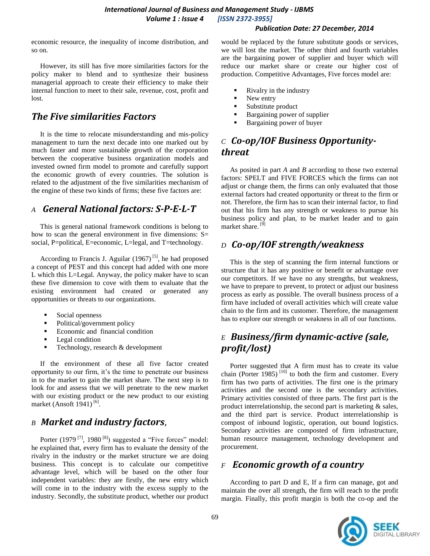#### *Publication Date: 27 December, 2014*

economic resource, the inequality of income distribution, and so on.

 However, its still has five more similarities factors for the policy maker to blend and to synthesize their business managerial approach to create their efficiency to make their internal function to meet to their sale, revenue, cost, profit and lost.

# *The Five similarities Factors*

 It is the time to relocate misunderstanding and mis-policy management to turn the next decade into one marked out by much faster and more sustainable growth of the corporation between the cooperative business organization models and invested owned firm model to promote and carefully support the economic growth of every countries. The solution is related to the adjustment of the five similarities mechanism of the engine of these two kinds of firms; these five factors are:

### *A General National factors: S-P-E-L-T*

 This is general national framework conditions is belong to how to scan the general environment in five dimensions: S= social, P=political, E=economic, L=legal, and T=technology.

According to Francis J. Aguilar  $(1967)^{5}$ , he had proposed a concept of PEST and this concept had added with one more L which this L=Legal. Anyway, the policy maker have to scan these five dimension to cove with them to evaluate that the existing environment had created or generated any opportunities or threats to our organizations.

- Social openness
- Political/government policy
- Economic and financial condition
- **Legal condition**
- $\blacksquare$  Technology, research & development

 If the environment of these all five factor created opportunity to our firm, it's the time to penetrate our business in to the market to gain the market share. The next step is to look for and assess that we will penetrate to the new market with our existing product or the new product to our existing market (Ansoft  $1941$ )<sup>[6]</sup>.

## *B Market and industry factors*,

Porter  $(1979^{[7]}, 1980^{[8]})$  suggested a "Five forces" model: he explained that, every firm has to evaluate the density of the rivalry in the industry or the market structure we are doing business. This concept is to calculate our competitive advantage level, which will be based on the other four independent variables: they are firstly, the new entry which will come in to the industry with the excess supply to the industry. Secondly, the substitute product, whether our product

would be replaced by the future substitute goods or services, we will lost the market. The other third and fourth variables are the bargaining power of supplier and buyer which will reduce our market share or create our higher cost of production. Competitive Advantages, Five forces model are:

- Rivalry in the industry
- New entry
- Substitute product
- Bargaining power of supplier
- Bargaining power of buyer

### *C Co-op/IOF Business Opportunitythreat*

 As posited in part *A* and *B* according to those two external factors: SPELT and FIVE FORCES which the firms can not adjust or change them, the firms can only evaluated that those external factors had created opportunity or threat to the firm or not. Therefore, the firm has to scan their internal factor, to find out that his firm has any strength or weakness to pursue his business policy and plan, to be market leader and to gain market share.<sup>[9]</sup>

## *D Co-op/IOF strength/weakness*

 This is the step of scanning the firm internal functions or structure that it has any positive or benefit or advantage over our competitors. If we have no any strengths, but weakness, we have to prepare to prevent, to protect or adjust our business process as early as possible. The overall business process of a firm have included of overall activities which will create value chain to the firm and its customer. Therefore, the management has to explore our strength or weakness in all of our functions.

# *E Business/firm dynamic-active (sale, profit/lost)*

 Porter suggested that A firm must has to create its value chain (Porter 1985)<sup>[10]</sup> to both the firm and customer. Every firm has two parts of activities. The first one is the primary activities and the second one is the secondary activities. Primary activities consisted of three parts. The first part is the product interrelationship, the second part is marketing & sales, and the third part is service. Product interrelationship is compost of inbound logistic, operation, out bound logistics. Secondary activities are composted of firm infrastructure, human resource management, technology development and procurement.

### *F Economic growth of a country*

 According to part D and E, If a firm can manage, got and maintain the over all strength, the firm will reach to the profit margin. Finally, this profit margin is both the co-op and the

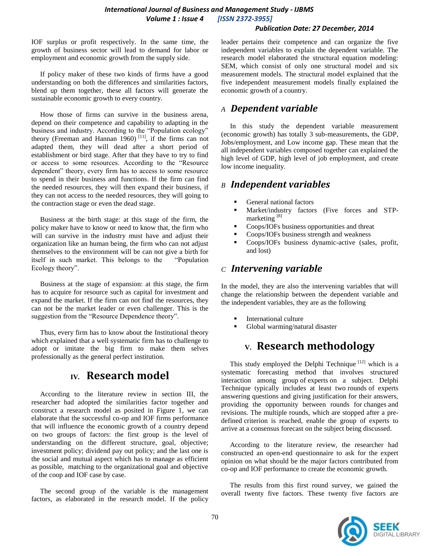#### *Publication Date: 27 December, 2014*

IOF surplus or profit respectively. In the same time, the growth of business sector will lead to demand for labor or employment and economic growth from the supply side.

 If policy maker of these two kinds of firms have a good understanding on both the differences and similarities factors, blend up them together, these all factors will generate the sustainable economic growth to every country.

 How those of firms can survive in the business arena, depend on their competence and capability to adapting in the business and industry. According to the "Population ecology" theory (Freeman and Hannan 1960)<sup>[11]</sup>, if the firms can not adapted them, they will dead after a short period of establishment or bird stage. After that they have to try to find or access to some resources. According to the "Resource dependent" theory, every firm has to access to some resource to spend in their business and functions. If the firm can find the needed resources, they will then expand their business, if they can not access to the needed resources, they will going to the contraction stage or even the dead stage.

 Business at the birth stage: at this stage of the firm, the policy maker have to know or need to know that, the firm who will can survive in the industry must have and adjust their organization like an human being, the firm who can not adjust themselves to the environment will be can not give a birth for itself in such market. This belongs to the "Population Ecology theory".

 Business at the stage of expansion: at this stage, the firm has to acquire for resource such as capital for investment and expand the market. If the firm can not find the resources, they can not be the market leader or even challenger. This is the suggestion from the "Resource Dependence theory".

 Thus, every firm has to know about the Institutional theory which explained that a well systematic firm has to challenge to adopt or imitate the big firm to make them selves professionally as the general perfect institution.

# **IV***.* **Research model**

 According to the literature review in section III, the researcher had adopted the similarities factor together and construct a research model as posited in Figure 1, we can elaborate that the successful co-op and IOF firms performance that will influence the economic growth of a country depend on two groups of factors: the first group is the level of understanding on the different structure, goal, objective; investment policy; dividend pay out policy; and the last one is the social and mutual aspect which has to manage as efficient as possible, matching to the organizational goal and objective of the coop and IOF case by case.

 The second group of the variable is the management factors, as elaborated in the research model. If the policy leader pertains their competence and can organize the five independent variables to explain the dependent variable. The research model elaborated the structural equation modeling: SEM, which consist of only one structural model and six measurement models. The structural model explained that the five independent measurement models finally explained the economic growth of a country.

#### *A**Dependent variable*

 In this study the dependent variable measurement (economic growth) has totally 3 sub-measurements, the GDP, Jobs/employment, and Low income gap. These mean that the all independent variables composed together can explained the high level of GDP, high level of job employment, and create low income inequality.

#### *B Independent variables*

- General national factors
- Market/industry factors (Five forces and STPmarketing [8]
- Coops/IOFs business opportunities and threat
- **Coops/IOFs business strength and weakness**
- Coops/IOFs business dynamic-active (sales, profit, and lost)

#### *C**Intervening variable*

In the model, they are also the intervening variables that will change the relationship between the dependent variable and the independent variables, they are as the following

- International culture
- Global warming/natural disaster

# **V. Research methodology**

This study employed the Delphi Technique  $[12]$  which is a systematic forecasting method that involves structured interaction among group of experts on a subject. Delphi Technique typically includes at least two rounds of experts answering questions and giving justification for their answers, providing the opportunity between rounds for changes and revisions. The multiple rounds, which are stopped after a predefined criterion is reached, enable the group of experts to arrive at a consensus forecast on the subject being discussed.

 According to the literature review, the researcher had constructed an open-end questionnaire to ask for the expert opinion on what should be the major factors contributed from co-op and IOF performance to create the economic growth.

 The results from this first round survey, we gained the overall twenty five factors. These twenty five factors are

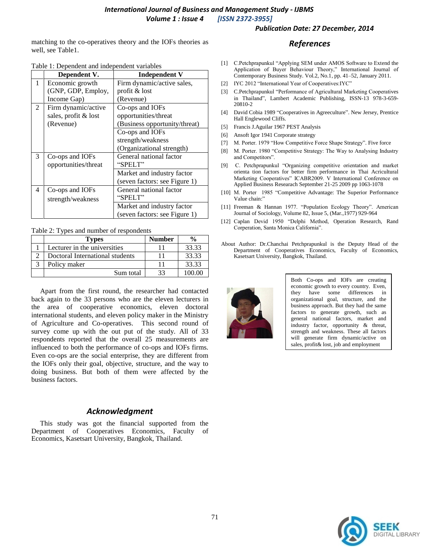matching to the co-operatives theory and the IOFs theories as well, see Table1.

|  | Table 1: Dependent and independent variables |  |
|--|----------------------------------------------|--|
|  |                                              |  |

|   | Dependent V.         | <b>Independent V</b>          |
|---|----------------------|-------------------------------|
| 1 | Economic growth      | Firm dynamic/active sales,    |
|   | (GNP, GDP, Employ,   | profit & lost                 |
|   | Income Gap)          | (Revenue)                     |
| 2 | Firm dynamic/active  | Co-ops and IOFs               |
|   | sales, profit & lost | opportunities/threat          |
|   | (Revenue)            | (Business opportunity/threat) |
|   |                      | Co-ops and IOFs               |
|   |                      | strength/weakness             |
|   |                      | (Organizational strength)     |
| 3 | Co-ops and IOFs      | General national factor       |
|   | opportunities/threat | "SPELT"                       |
|   |                      | Market and industry factor    |
|   |                      | (seven factors: see Figure 1) |
| 4 | Co-ops and IOFs      | General national factor       |
|   | strength/weakness    | "SPELT"                       |
|   |                      | Market and industry factor    |
|   |                      | (seven factors: see Figure 1) |

Table 2: Types and number of respondents

| Types                           | <b>Number</b> | %      |
|---------------------------------|---------------|--------|
| Lecturer in the universities    |               | 33.33  |
| Doctoral International students |               | 33.33  |
| Policy maker                    |               | 33.33  |
| Sum total                       |               | 100.00 |

 Apart from the first round, the researcher had contacted back again to the 33 persons who are the eleven lecturers in the area of cooperative economics, eleven doctoral international students, and eleven policy maker in the Ministry of Agriculture and Co-operatives. This second round of survey come up with the out put of the study. All of 33 respondents reported that the overall 25 measurements are influenced to both the performance of co-ops and IOFs firms. Even co-ops are the social enterprise, they are different from the IOFs only their goal, objective, structure, and the way to doing business. But both of them were affected by the business factors.

#### *Acknowledgment*

 This study was got the financial supported from the Department of Cooperatives Economics, Faculty of Economics, Kasetsart University, Bangkok, Thailand.

#### *Publication Date: 27 December, 2014*

#### *References*

- [1] C.Petchprapunkul "Applying SEM under AMOS Software to Extend the Application of Buyer Behaviour Theory," International Journal of Contemporary Business Study. Vol.2, No.1, pp. 41–52, January 2011.
- [2] IYC 2012 "International Year of Cooperatives:IYC"
- [3] C.Petchprapunkul "Performance of Agricultural Marketing Cooperatives in Thailand", Lambert Academic Publishing, ISSN-13 978-3-659- 20810-2
- [4] David Cobia 1989 "Cooperatives in Agreeculture". New Jersey, Prentice Hall Englewood Cliffs.
- [5] Francis J.Aguilar 1967 PEST Analysis
- [6] Ansoft Igor 1941 Corporate strategy
- [7] M. Porter. 1979 "How Competitive Force Shape Strategy". Five force
- [8] M. Porter. 1980 "Competitive Strategy: The Way to Analysing Industry and Competitors".
- [9] C. Petchprapunkul "Organizing competitive orientation and market orienta tion factors for better firm performance in Thai Acricultural Marketing Cooperatives" ICABR2009. V International Conference on Applied Business Researach September 21-25 2009 pp 1063-1078
- [10] M. Porter 1985 "Competitive Advantage: The Superior Performance Value chain:"
- [11] Freeman & Hannan 1977. "Population Ecology Theory". American Journal of Sociology, Volume 82, Issue 5, (Mar.,1977) 929-964
- [12] Caplan Devid 1950 "Delphi Method, Operation Research, Rand Corperation, Santa Monica California".
- About Author: Dr.Chanchai Petchprapunkul is the Deputy Head of the Department of Cooperatives Economics, Faculty of Economics, Kasetsart University, Bangkok, Thailand.



Both Co-ops and IOFs are creating economic growth to every country. Even, they have some differences in organizational goal, structure, and the business approach. But they had the same factors to generate growth, such as general national factors, market and industry factor, opportunity & threat, strength and weakness. These all factors will generate firm dynamic/active on sales, profit& lost, job and employment